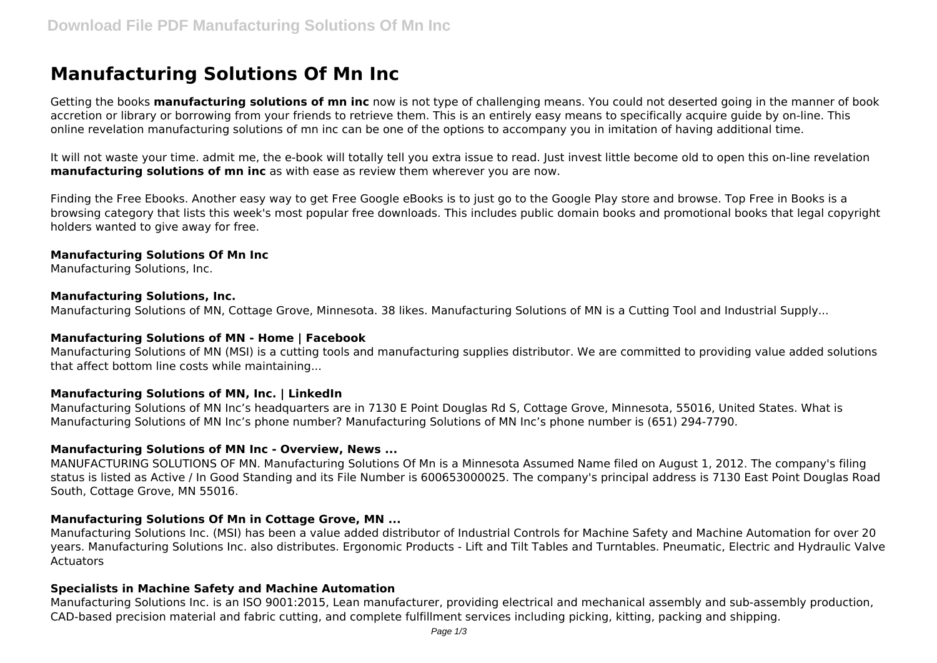# **Manufacturing Solutions Of Mn Inc**

Getting the books **manufacturing solutions of mn inc** now is not type of challenging means. You could not deserted going in the manner of book accretion or library or borrowing from your friends to retrieve them. This is an entirely easy means to specifically acquire guide by on-line. This online revelation manufacturing solutions of mn inc can be one of the options to accompany you in imitation of having additional time.

It will not waste your time. admit me, the e-book will totally tell you extra issue to read. Just invest little become old to open this on-line revelation **manufacturing solutions of mn inc** as with ease as review them wherever you are now.

Finding the Free Ebooks. Another easy way to get Free Google eBooks is to just go to the Google Play store and browse. Top Free in Books is a browsing category that lists this week's most popular free downloads. This includes public domain books and promotional books that legal copyright holders wanted to give away for free.

#### **Manufacturing Solutions Of Mn Inc**

Manufacturing Solutions, Inc.

#### **Manufacturing Solutions, Inc.**

Manufacturing Solutions of MN, Cottage Grove, Minnesota. 38 likes. Manufacturing Solutions of MN is a Cutting Tool and Industrial Supply...

#### **Manufacturing Solutions of MN - Home | Facebook**

Manufacturing Solutions of MN (MSI) is a cutting tools and manufacturing supplies distributor. We are committed to providing value added solutions that affect bottom line costs while maintaining...

#### **Manufacturing Solutions of MN, Inc. | LinkedIn**

Manufacturing Solutions of MN Inc's headquarters are in 7130 E Point Douglas Rd S, Cottage Grove, Minnesota, 55016, United States. What is Manufacturing Solutions of MN Inc's phone number? Manufacturing Solutions of MN Inc's phone number is (651) 294-7790.

#### **Manufacturing Solutions of MN Inc - Overview, News ...**

MANUFACTURING SOLUTIONS OF MN. Manufacturing Solutions Of Mn is a Minnesota Assumed Name filed on August 1, 2012. The company's filing status is listed as Active / In Good Standing and its File Number is 600653000025. The company's principal address is 7130 East Point Douglas Road South, Cottage Grove, MN 55016.

#### **Manufacturing Solutions Of Mn in Cottage Grove, MN ...**

Manufacturing Solutions Inc. (MSI) has been a value added distributor of Industrial Controls for Machine Safety and Machine Automation for over 20 years. Manufacturing Solutions Inc. also distributes. Ergonomic Products - Lift and Tilt Tables and Turntables. Pneumatic, Electric and Hydraulic Valve **Actuators** 

#### **Specialists in Machine Safety and Machine Automation**

Manufacturing Solutions Inc. is an ISO 9001:2015, Lean manufacturer, providing electrical and mechanical assembly and sub-assembly production, CAD-based precision material and fabric cutting, and complete fulfillment services including picking, kitting, packing and shipping.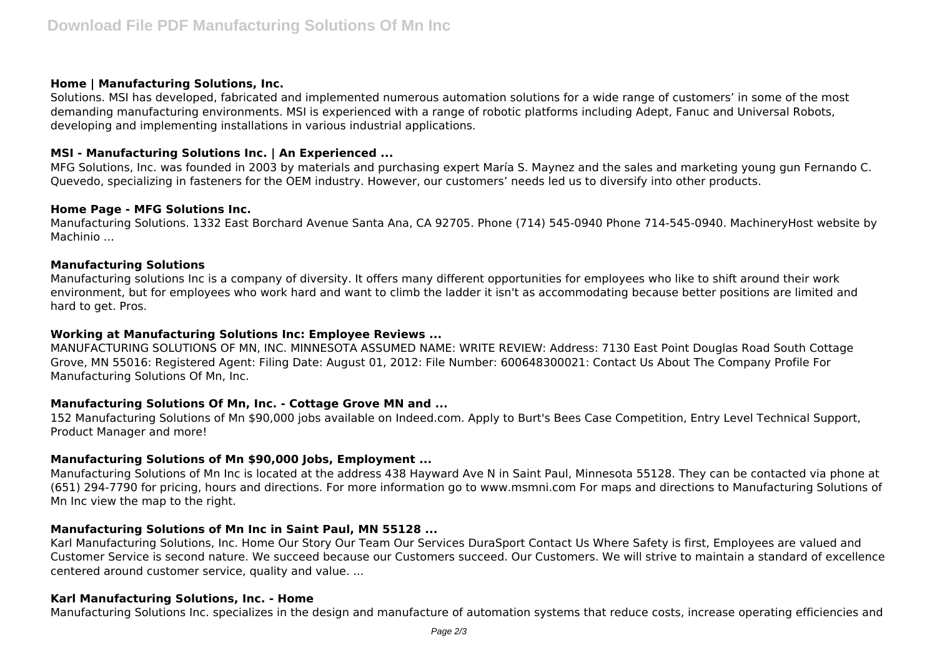### **Home | Manufacturing Solutions, Inc.**

Solutions. MSI has developed, fabricated and implemented numerous automation solutions for a wide range of customers' in some of the most demanding manufacturing environments. MSI is experienced with a range of robotic platforms including Adept, Fanuc and Universal Robots, developing and implementing installations in various industrial applications.

## **MSI - Manufacturing Solutions Inc. | An Experienced ...**

MFG Solutions, Inc. was founded in 2003 by materials and purchasing expert María S. Maynez and the sales and marketing young gun Fernando C. Quevedo, specializing in fasteners for the OEM industry. However, our customers' needs led us to diversify into other products.

#### **Home Page - MFG Solutions Inc.**

Manufacturing Solutions. 1332 East Borchard Avenue Santa Ana, CA 92705. Phone (714) 545-0940 Phone 714-545-0940. MachineryHost website by Machinio ...

#### **Manufacturing Solutions**

Manufacturing solutions Inc is a company of diversity. It offers many different opportunities for employees who like to shift around their work environment, but for employees who work hard and want to climb the ladder it isn't as accommodating because better positions are limited and hard to get. Pros.

#### **Working at Manufacturing Solutions Inc: Employee Reviews ...**

MANUFACTURING SOLUTIONS OF MN, INC. MINNESOTA ASSUMED NAME: WRITE REVIEW: Address: 7130 East Point Douglas Road South Cottage Grove, MN 55016: Registered Agent: Filing Date: August 01, 2012: File Number: 600648300021: Contact Us About The Company Profile For Manufacturing Solutions Of Mn, Inc.

## **Manufacturing Solutions Of Mn, Inc. - Cottage Grove MN and ...**

152 Manufacturing Solutions of Mn \$90,000 jobs available on Indeed.com. Apply to Burt's Bees Case Competition, Entry Level Technical Support, Product Manager and more!

## **Manufacturing Solutions of Mn \$90,000 Jobs, Employment ...**

Manufacturing Solutions of Mn Inc is located at the address 438 Hayward Ave N in Saint Paul, Minnesota 55128. They can be contacted via phone at (651) 294-7790 for pricing, hours and directions. For more information go to www.msmni.com For maps and directions to Manufacturing Solutions of Mn Inc view the map to the right.

## **Manufacturing Solutions of Mn Inc in Saint Paul, MN 55128 ...**

Karl Manufacturing Solutions, Inc. Home Our Story Our Team Our Services DuraSport Contact Us Where Safety is first, Employees are valued and Customer Service is second nature. We succeed because our Customers succeed. Our Customers. We will strive to maintain a standard of excellence centered around customer service, quality and value. ...

#### **Karl Manufacturing Solutions, Inc. - Home**

Manufacturing Solutions Inc. specializes in the design and manufacture of automation systems that reduce costs, increase operating efficiencies and